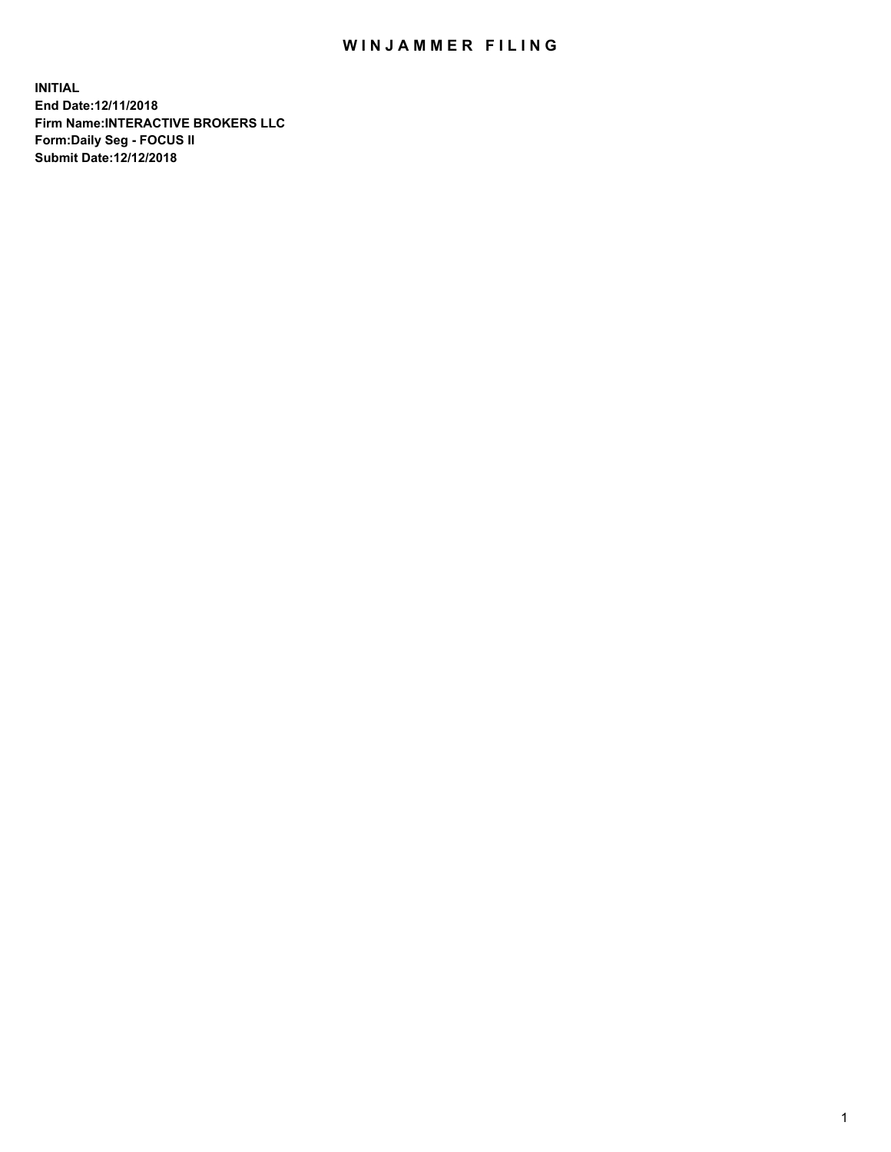## WIN JAMMER FILING

**INITIAL End Date:12/11/2018 Firm Name:INTERACTIVE BROKERS LLC Form:Daily Seg - FOCUS II Submit Date:12/12/2018**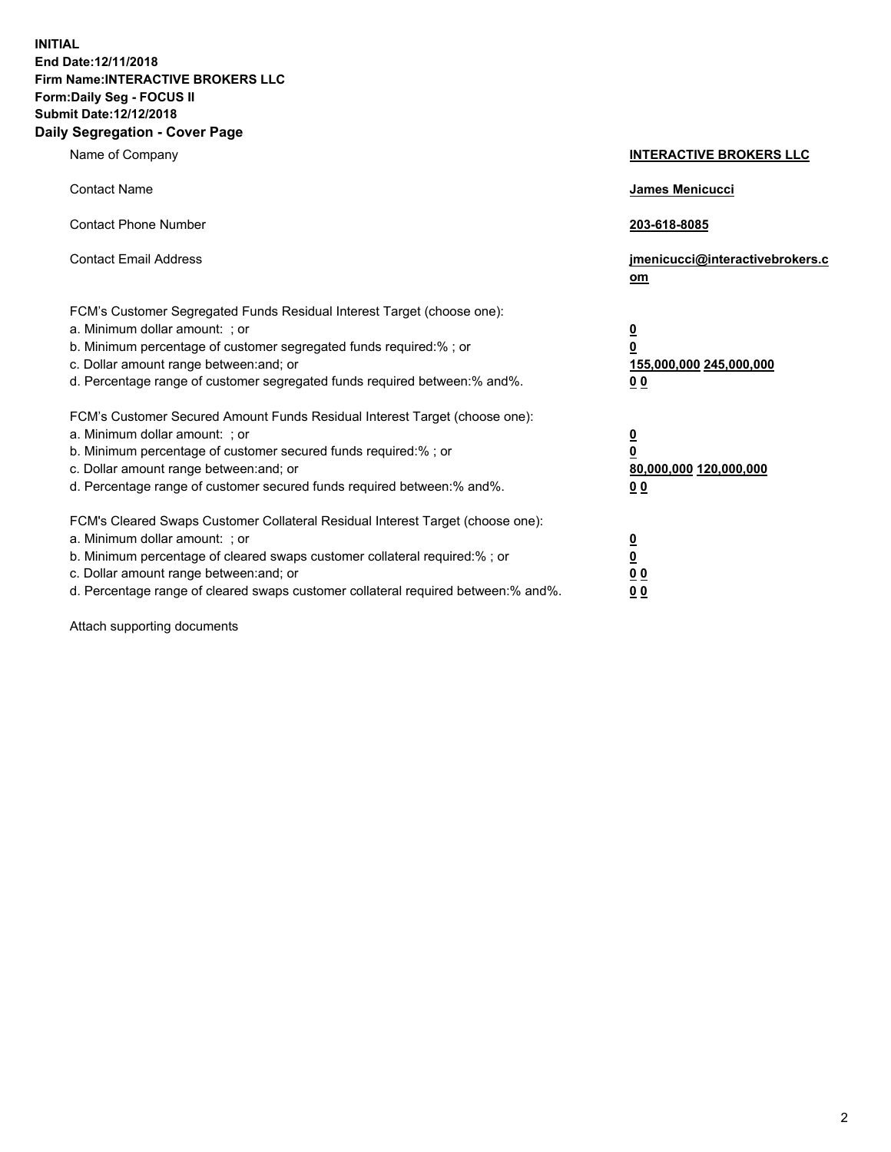**INITIAL End Date:12/11/2018 Firm Name:INTERACTIVE BROKERS LLC Form:Daily Seg - FOCUS II Submit Date:12/12/2018 Daily Segregation - Cover Page**

| Name of Company                                                                                                                                                                                                                                                                                                                | <b>INTERACTIVE BROKERS LLC</b>                                                                 |
|--------------------------------------------------------------------------------------------------------------------------------------------------------------------------------------------------------------------------------------------------------------------------------------------------------------------------------|------------------------------------------------------------------------------------------------|
| <b>Contact Name</b>                                                                                                                                                                                                                                                                                                            | James Menicucci                                                                                |
| <b>Contact Phone Number</b>                                                                                                                                                                                                                                                                                                    | 203-618-8085                                                                                   |
| <b>Contact Email Address</b>                                                                                                                                                                                                                                                                                                   | jmenicucci@interactivebrokers.c<br>om                                                          |
| FCM's Customer Segregated Funds Residual Interest Target (choose one):<br>a. Minimum dollar amount: : or<br>b. Minimum percentage of customer segregated funds required:% ; or<br>c. Dollar amount range between: and; or<br>d. Percentage range of customer segregated funds required between:% and%.                         | $\overline{\mathbf{0}}$<br>$\overline{\mathbf{0}}$<br>155,000,000 245,000,000<br>00            |
| FCM's Customer Secured Amount Funds Residual Interest Target (choose one):<br>a. Minimum dollar amount: ; or<br>b. Minimum percentage of customer secured funds required:%; or<br>c. Dollar amount range between: and; or<br>d. Percentage range of customer secured funds required between:% and%.                            | $\overline{\mathbf{0}}$<br>$\overline{\mathbf{0}}$<br>80,000,000 120,000,000<br>0 <sub>0</sub> |
| FCM's Cleared Swaps Customer Collateral Residual Interest Target (choose one):<br>a. Minimum dollar amount: ; or<br>b. Minimum percentage of cleared swaps customer collateral required:% ; or<br>c. Dollar amount range between: and; or<br>d. Percentage range of cleared swaps customer collateral required between:% and%. | $\frac{0}{0}$<br>0 <sub>0</sub><br>0 <sub>0</sub>                                              |

Attach supporting documents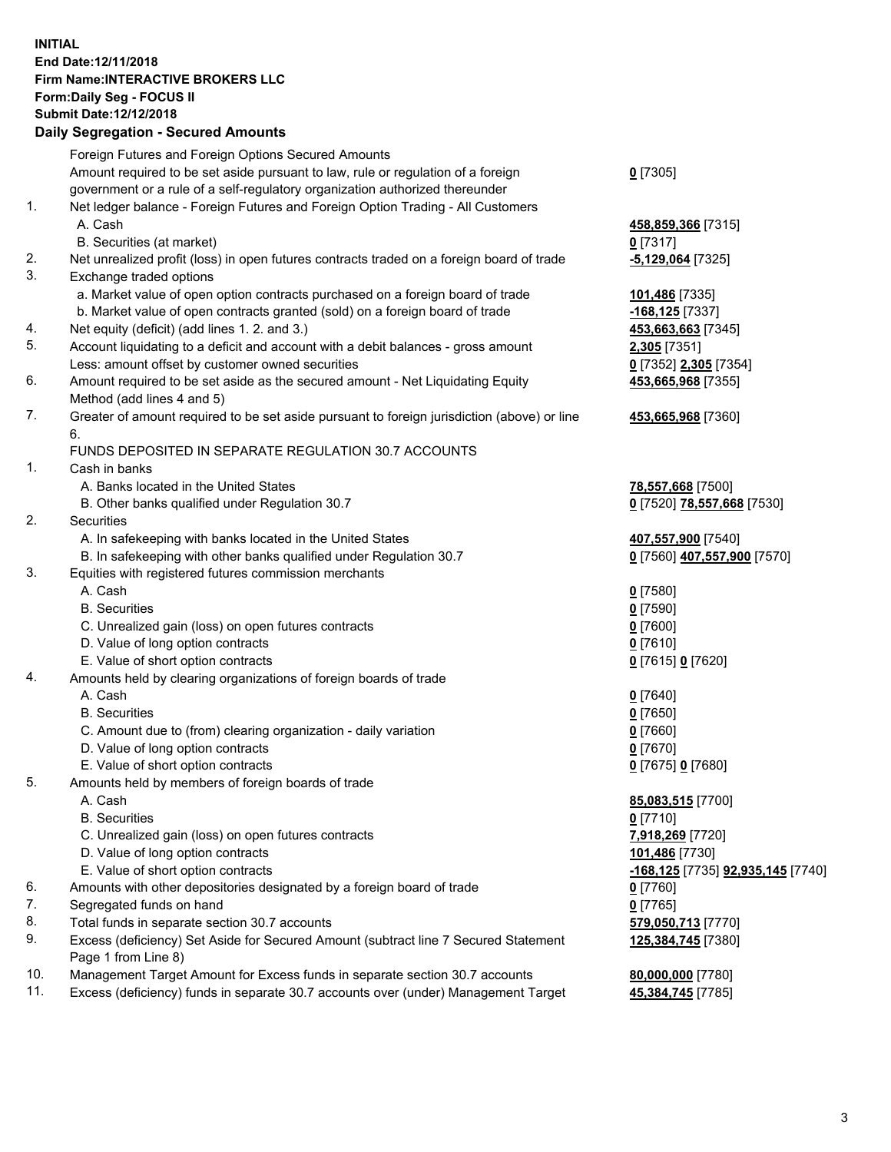## **INITIAL End Date:12/11/2018 Firm Name:INTERACTIVE BROKERS LLC Form:Daily Seg - FOCUS II Submit Date:12/12/2018 Daily Segregation - Secured Amounts**

| Daily Segregation - Secured Amounts                                                       |                                                                                                                                                                                                                                                                                                                                                                                                                                                                                                                                                                                                                                                                                                                                                                                                                                                                                                                                                                                                                                                                                                                                                                                                                                                                                                                                                                                                                                                                                                                                                                                                                                                                                                                                                                                                                                 |
|-------------------------------------------------------------------------------------------|---------------------------------------------------------------------------------------------------------------------------------------------------------------------------------------------------------------------------------------------------------------------------------------------------------------------------------------------------------------------------------------------------------------------------------------------------------------------------------------------------------------------------------------------------------------------------------------------------------------------------------------------------------------------------------------------------------------------------------------------------------------------------------------------------------------------------------------------------------------------------------------------------------------------------------------------------------------------------------------------------------------------------------------------------------------------------------------------------------------------------------------------------------------------------------------------------------------------------------------------------------------------------------------------------------------------------------------------------------------------------------------------------------------------------------------------------------------------------------------------------------------------------------------------------------------------------------------------------------------------------------------------------------------------------------------------------------------------------------------------------------------------------------------------------------------------------------|
| Foreign Futures and Foreign Options Secured Amounts                                       |                                                                                                                                                                                                                                                                                                                                                                                                                                                                                                                                                                                                                                                                                                                                                                                                                                                                                                                                                                                                                                                                                                                                                                                                                                                                                                                                                                                                                                                                                                                                                                                                                                                                                                                                                                                                                                 |
| Amount required to be set aside pursuant to law, rule or regulation of a foreign          | $0$ [7305]                                                                                                                                                                                                                                                                                                                                                                                                                                                                                                                                                                                                                                                                                                                                                                                                                                                                                                                                                                                                                                                                                                                                                                                                                                                                                                                                                                                                                                                                                                                                                                                                                                                                                                                                                                                                                      |
| government or a rule of a self-regulatory organization authorized thereunder              |                                                                                                                                                                                                                                                                                                                                                                                                                                                                                                                                                                                                                                                                                                                                                                                                                                                                                                                                                                                                                                                                                                                                                                                                                                                                                                                                                                                                                                                                                                                                                                                                                                                                                                                                                                                                                                 |
| Net ledger balance - Foreign Futures and Foreign Option Trading - All Customers           |                                                                                                                                                                                                                                                                                                                                                                                                                                                                                                                                                                                                                                                                                                                                                                                                                                                                                                                                                                                                                                                                                                                                                                                                                                                                                                                                                                                                                                                                                                                                                                                                                                                                                                                                                                                                                                 |
| A. Cash                                                                                   | 458,859,366 [7315]                                                                                                                                                                                                                                                                                                                                                                                                                                                                                                                                                                                                                                                                                                                                                                                                                                                                                                                                                                                                                                                                                                                                                                                                                                                                                                                                                                                                                                                                                                                                                                                                                                                                                                                                                                                                              |
| B. Securities (at market)                                                                 | $0$ [7317]                                                                                                                                                                                                                                                                                                                                                                                                                                                                                                                                                                                                                                                                                                                                                                                                                                                                                                                                                                                                                                                                                                                                                                                                                                                                                                                                                                                                                                                                                                                                                                                                                                                                                                                                                                                                                      |
| Net unrealized profit (loss) in open futures contracts traded on a foreign board of trade | -5,129,064 [7325]                                                                                                                                                                                                                                                                                                                                                                                                                                                                                                                                                                                                                                                                                                                                                                                                                                                                                                                                                                                                                                                                                                                                                                                                                                                                                                                                                                                                                                                                                                                                                                                                                                                                                                                                                                                                               |
| Exchange traded options                                                                   |                                                                                                                                                                                                                                                                                                                                                                                                                                                                                                                                                                                                                                                                                                                                                                                                                                                                                                                                                                                                                                                                                                                                                                                                                                                                                                                                                                                                                                                                                                                                                                                                                                                                                                                                                                                                                                 |
|                                                                                           | 101,486 [7335]                                                                                                                                                                                                                                                                                                                                                                                                                                                                                                                                                                                                                                                                                                                                                                                                                                                                                                                                                                                                                                                                                                                                                                                                                                                                                                                                                                                                                                                                                                                                                                                                                                                                                                                                                                                                                  |
| b. Market value of open contracts granted (sold) on a foreign board of trade              | $-168, 125$ [7337]                                                                                                                                                                                                                                                                                                                                                                                                                                                                                                                                                                                                                                                                                                                                                                                                                                                                                                                                                                                                                                                                                                                                                                                                                                                                                                                                                                                                                                                                                                                                                                                                                                                                                                                                                                                                              |
|                                                                                           | 453,663,663 [7345]                                                                                                                                                                                                                                                                                                                                                                                                                                                                                                                                                                                                                                                                                                                                                                                                                                                                                                                                                                                                                                                                                                                                                                                                                                                                                                                                                                                                                                                                                                                                                                                                                                                                                                                                                                                                              |
|                                                                                           | 2,305 [7351]                                                                                                                                                                                                                                                                                                                                                                                                                                                                                                                                                                                                                                                                                                                                                                                                                                                                                                                                                                                                                                                                                                                                                                                                                                                                                                                                                                                                                                                                                                                                                                                                                                                                                                                                                                                                                    |
| Less: amount offset by customer owned securities                                          | 0 [7352] 2,305 [7354]                                                                                                                                                                                                                                                                                                                                                                                                                                                                                                                                                                                                                                                                                                                                                                                                                                                                                                                                                                                                                                                                                                                                                                                                                                                                                                                                                                                                                                                                                                                                                                                                                                                                                                                                                                                                           |
| Amount required to be set aside as the secured amount - Net Liquidating Equity            | 453,665,968 [7355]                                                                                                                                                                                                                                                                                                                                                                                                                                                                                                                                                                                                                                                                                                                                                                                                                                                                                                                                                                                                                                                                                                                                                                                                                                                                                                                                                                                                                                                                                                                                                                                                                                                                                                                                                                                                              |
|                                                                                           |                                                                                                                                                                                                                                                                                                                                                                                                                                                                                                                                                                                                                                                                                                                                                                                                                                                                                                                                                                                                                                                                                                                                                                                                                                                                                                                                                                                                                                                                                                                                                                                                                                                                                                                                                                                                                                 |
|                                                                                           | 453,665,968 [7360]                                                                                                                                                                                                                                                                                                                                                                                                                                                                                                                                                                                                                                                                                                                                                                                                                                                                                                                                                                                                                                                                                                                                                                                                                                                                                                                                                                                                                                                                                                                                                                                                                                                                                                                                                                                                              |
| 6.                                                                                        |                                                                                                                                                                                                                                                                                                                                                                                                                                                                                                                                                                                                                                                                                                                                                                                                                                                                                                                                                                                                                                                                                                                                                                                                                                                                                                                                                                                                                                                                                                                                                                                                                                                                                                                                                                                                                                 |
|                                                                                           |                                                                                                                                                                                                                                                                                                                                                                                                                                                                                                                                                                                                                                                                                                                                                                                                                                                                                                                                                                                                                                                                                                                                                                                                                                                                                                                                                                                                                                                                                                                                                                                                                                                                                                                                                                                                                                 |
|                                                                                           |                                                                                                                                                                                                                                                                                                                                                                                                                                                                                                                                                                                                                                                                                                                                                                                                                                                                                                                                                                                                                                                                                                                                                                                                                                                                                                                                                                                                                                                                                                                                                                                                                                                                                                                                                                                                                                 |
|                                                                                           | 78,557,668 [7500]                                                                                                                                                                                                                                                                                                                                                                                                                                                                                                                                                                                                                                                                                                                                                                                                                                                                                                                                                                                                                                                                                                                                                                                                                                                                                                                                                                                                                                                                                                                                                                                                                                                                                                                                                                                                               |
|                                                                                           | 0 [7520] 78,557,668 [7530]                                                                                                                                                                                                                                                                                                                                                                                                                                                                                                                                                                                                                                                                                                                                                                                                                                                                                                                                                                                                                                                                                                                                                                                                                                                                                                                                                                                                                                                                                                                                                                                                                                                                                                                                                                                                      |
|                                                                                           |                                                                                                                                                                                                                                                                                                                                                                                                                                                                                                                                                                                                                                                                                                                                                                                                                                                                                                                                                                                                                                                                                                                                                                                                                                                                                                                                                                                                                                                                                                                                                                                                                                                                                                                                                                                                                                 |
|                                                                                           | 407,557,900 [7540]                                                                                                                                                                                                                                                                                                                                                                                                                                                                                                                                                                                                                                                                                                                                                                                                                                                                                                                                                                                                                                                                                                                                                                                                                                                                                                                                                                                                                                                                                                                                                                                                                                                                                                                                                                                                              |
|                                                                                           | 0 [7560] 407,557,900 [7570]                                                                                                                                                                                                                                                                                                                                                                                                                                                                                                                                                                                                                                                                                                                                                                                                                                                                                                                                                                                                                                                                                                                                                                                                                                                                                                                                                                                                                                                                                                                                                                                                                                                                                                                                                                                                     |
|                                                                                           |                                                                                                                                                                                                                                                                                                                                                                                                                                                                                                                                                                                                                                                                                                                                                                                                                                                                                                                                                                                                                                                                                                                                                                                                                                                                                                                                                                                                                                                                                                                                                                                                                                                                                                                                                                                                                                 |
|                                                                                           | $0$ [7580]                                                                                                                                                                                                                                                                                                                                                                                                                                                                                                                                                                                                                                                                                                                                                                                                                                                                                                                                                                                                                                                                                                                                                                                                                                                                                                                                                                                                                                                                                                                                                                                                                                                                                                                                                                                                                      |
|                                                                                           | $0$ [7590]                                                                                                                                                                                                                                                                                                                                                                                                                                                                                                                                                                                                                                                                                                                                                                                                                                                                                                                                                                                                                                                                                                                                                                                                                                                                                                                                                                                                                                                                                                                                                                                                                                                                                                                                                                                                                      |
|                                                                                           | $0$ [7600]                                                                                                                                                                                                                                                                                                                                                                                                                                                                                                                                                                                                                                                                                                                                                                                                                                                                                                                                                                                                                                                                                                                                                                                                                                                                                                                                                                                                                                                                                                                                                                                                                                                                                                                                                                                                                      |
|                                                                                           | $0$ [7610]                                                                                                                                                                                                                                                                                                                                                                                                                                                                                                                                                                                                                                                                                                                                                                                                                                                                                                                                                                                                                                                                                                                                                                                                                                                                                                                                                                                                                                                                                                                                                                                                                                                                                                                                                                                                                      |
|                                                                                           | 0 [7615] 0 [7620]                                                                                                                                                                                                                                                                                                                                                                                                                                                                                                                                                                                                                                                                                                                                                                                                                                                                                                                                                                                                                                                                                                                                                                                                                                                                                                                                                                                                                                                                                                                                                                                                                                                                                                                                                                                                               |
|                                                                                           |                                                                                                                                                                                                                                                                                                                                                                                                                                                                                                                                                                                                                                                                                                                                                                                                                                                                                                                                                                                                                                                                                                                                                                                                                                                                                                                                                                                                                                                                                                                                                                                                                                                                                                                                                                                                                                 |
|                                                                                           | $0$ [7640]                                                                                                                                                                                                                                                                                                                                                                                                                                                                                                                                                                                                                                                                                                                                                                                                                                                                                                                                                                                                                                                                                                                                                                                                                                                                                                                                                                                                                                                                                                                                                                                                                                                                                                                                                                                                                      |
|                                                                                           | $0$ [7650]                                                                                                                                                                                                                                                                                                                                                                                                                                                                                                                                                                                                                                                                                                                                                                                                                                                                                                                                                                                                                                                                                                                                                                                                                                                                                                                                                                                                                                                                                                                                                                                                                                                                                                                                                                                                                      |
|                                                                                           | $0$ [7660]                                                                                                                                                                                                                                                                                                                                                                                                                                                                                                                                                                                                                                                                                                                                                                                                                                                                                                                                                                                                                                                                                                                                                                                                                                                                                                                                                                                                                                                                                                                                                                                                                                                                                                                                                                                                                      |
|                                                                                           | $0$ [7670]                                                                                                                                                                                                                                                                                                                                                                                                                                                                                                                                                                                                                                                                                                                                                                                                                                                                                                                                                                                                                                                                                                                                                                                                                                                                                                                                                                                                                                                                                                                                                                                                                                                                                                                                                                                                                      |
|                                                                                           | 0 [7675] 0 [7680]                                                                                                                                                                                                                                                                                                                                                                                                                                                                                                                                                                                                                                                                                                                                                                                                                                                                                                                                                                                                                                                                                                                                                                                                                                                                                                                                                                                                                                                                                                                                                                                                                                                                                                                                                                                                               |
|                                                                                           |                                                                                                                                                                                                                                                                                                                                                                                                                                                                                                                                                                                                                                                                                                                                                                                                                                                                                                                                                                                                                                                                                                                                                                                                                                                                                                                                                                                                                                                                                                                                                                                                                                                                                                                                                                                                                                 |
|                                                                                           | 85,083,515 [7700]                                                                                                                                                                                                                                                                                                                                                                                                                                                                                                                                                                                                                                                                                                                                                                                                                                                                                                                                                                                                                                                                                                                                                                                                                                                                                                                                                                                                                                                                                                                                                                                                                                                                                                                                                                                                               |
|                                                                                           | $0$ [7710]                                                                                                                                                                                                                                                                                                                                                                                                                                                                                                                                                                                                                                                                                                                                                                                                                                                                                                                                                                                                                                                                                                                                                                                                                                                                                                                                                                                                                                                                                                                                                                                                                                                                                                                                                                                                                      |
|                                                                                           | 7,918,269 [7720]                                                                                                                                                                                                                                                                                                                                                                                                                                                                                                                                                                                                                                                                                                                                                                                                                                                                                                                                                                                                                                                                                                                                                                                                                                                                                                                                                                                                                                                                                                                                                                                                                                                                                                                                                                                                                |
|                                                                                           | 101,486 [7730]                                                                                                                                                                                                                                                                                                                                                                                                                                                                                                                                                                                                                                                                                                                                                                                                                                                                                                                                                                                                                                                                                                                                                                                                                                                                                                                                                                                                                                                                                                                                                                                                                                                                                                                                                                                                                  |
|                                                                                           | -168,125 [7735] 92,935,145 [7740]                                                                                                                                                                                                                                                                                                                                                                                                                                                                                                                                                                                                                                                                                                                                                                                                                                                                                                                                                                                                                                                                                                                                                                                                                                                                                                                                                                                                                                                                                                                                                                                                                                                                                                                                                                                               |
|                                                                                           | $0$ [7760]                                                                                                                                                                                                                                                                                                                                                                                                                                                                                                                                                                                                                                                                                                                                                                                                                                                                                                                                                                                                                                                                                                                                                                                                                                                                                                                                                                                                                                                                                                                                                                                                                                                                                                                                                                                                                      |
|                                                                                           | $0$ [7765]                                                                                                                                                                                                                                                                                                                                                                                                                                                                                                                                                                                                                                                                                                                                                                                                                                                                                                                                                                                                                                                                                                                                                                                                                                                                                                                                                                                                                                                                                                                                                                                                                                                                                                                                                                                                                      |
|                                                                                           | 579,050,713 [7770]                                                                                                                                                                                                                                                                                                                                                                                                                                                                                                                                                                                                                                                                                                                                                                                                                                                                                                                                                                                                                                                                                                                                                                                                                                                                                                                                                                                                                                                                                                                                                                                                                                                                                                                                                                                                              |
|                                                                                           | 125,384,745 [7380]                                                                                                                                                                                                                                                                                                                                                                                                                                                                                                                                                                                                                                                                                                                                                                                                                                                                                                                                                                                                                                                                                                                                                                                                                                                                                                                                                                                                                                                                                                                                                                                                                                                                                                                                                                                                              |
|                                                                                           |                                                                                                                                                                                                                                                                                                                                                                                                                                                                                                                                                                                                                                                                                                                                                                                                                                                                                                                                                                                                                                                                                                                                                                                                                                                                                                                                                                                                                                                                                                                                                                                                                                                                                                                                                                                                                                 |
|                                                                                           | 80,000,000 [7780]                                                                                                                                                                                                                                                                                                                                                                                                                                                                                                                                                                                                                                                                                                                                                                                                                                                                                                                                                                                                                                                                                                                                                                                                                                                                                                                                                                                                                                                                                                                                                                                                                                                                                                                                                                                                               |
|                                                                                           | 45,384,745 [7785]                                                                                                                                                                                                                                                                                                                                                                                                                                                                                                                                                                                                                                                                                                                                                                                                                                                                                                                                                                                                                                                                                                                                                                                                                                                                                                                                                                                                                                                                                                                                                                                                                                                                                                                                                                                                               |
|                                                                                           | a. Market value of open option contracts purchased on a foreign board of trade<br>Net equity (deficit) (add lines 1. 2. and 3.)<br>Account liquidating to a deficit and account with a debit balances - gross amount<br>Method (add lines 4 and 5)<br>Greater of amount required to be set aside pursuant to foreign jurisdiction (above) or line<br>FUNDS DEPOSITED IN SEPARATE REGULATION 30.7 ACCOUNTS<br>Cash in banks<br>A. Banks located in the United States<br>B. Other banks qualified under Regulation 30.7<br>Securities<br>A. In safekeeping with banks located in the United States<br>B. In safekeeping with other banks qualified under Regulation 30.7<br>Equities with registered futures commission merchants<br>A. Cash<br><b>B.</b> Securities<br>C. Unrealized gain (loss) on open futures contracts<br>D. Value of long option contracts<br>E. Value of short option contracts<br>Amounts held by clearing organizations of foreign boards of trade<br>A. Cash<br><b>B.</b> Securities<br>C. Amount due to (from) clearing organization - daily variation<br>D. Value of long option contracts<br>E. Value of short option contracts<br>Amounts held by members of foreign boards of trade<br>A. Cash<br><b>B.</b> Securities<br>C. Unrealized gain (loss) on open futures contracts<br>D. Value of long option contracts<br>E. Value of short option contracts<br>Amounts with other depositories designated by a foreign board of trade<br>Segregated funds on hand<br>Total funds in separate section 30.7 accounts<br>Excess (deficiency) Set Aside for Secured Amount (subtract line 7 Secured Statement<br>Page 1 from Line 8)<br>Management Target Amount for Excess funds in separate section 30.7 accounts<br>Excess (deficiency) funds in separate 30.7 accounts over (under) Management Target |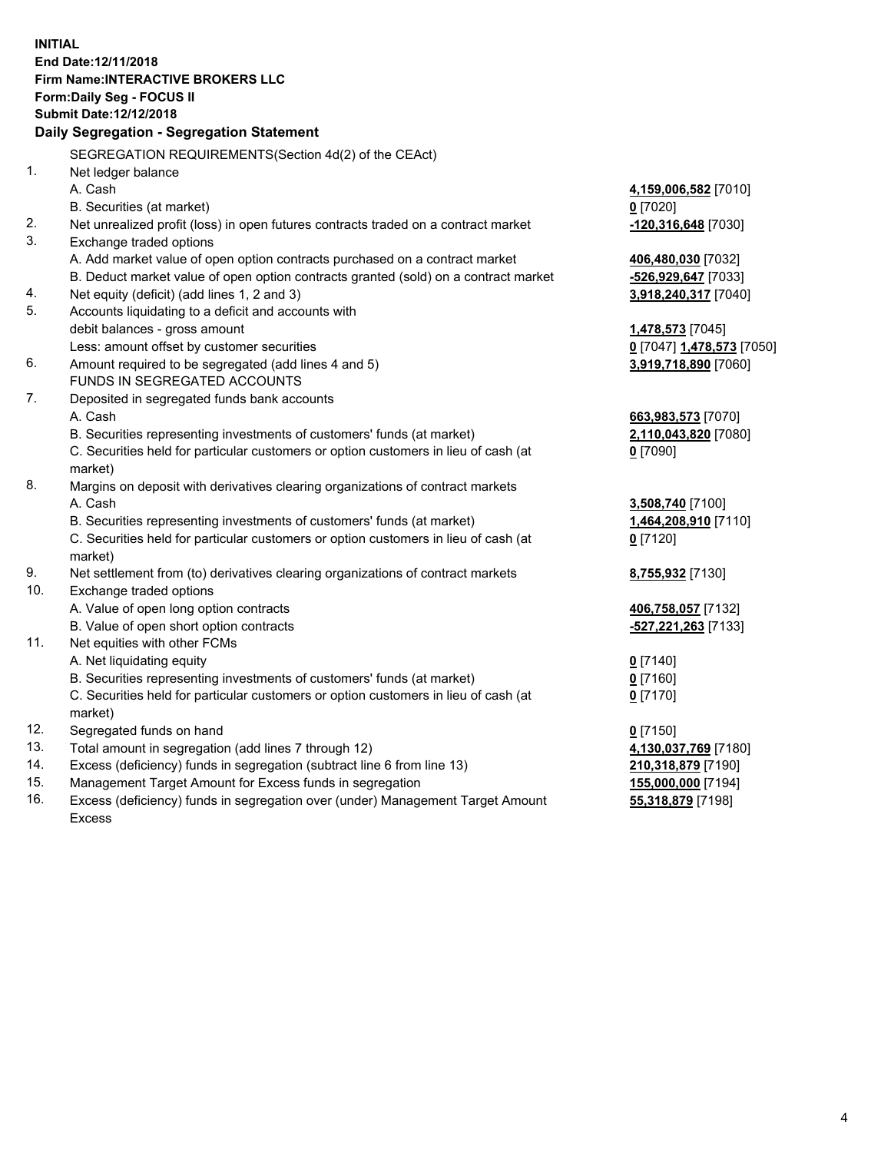**INITIAL End Date:12/11/2018 Firm Name:INTERACTIVE BROKERS LLC Form:Daily Seg - FOCUS II Submit Date:12/12/2018 Daily Segregation - Segregation Statement** SEGREGATION REQUIREMENTS(Section 4d(2) of the CEAct) 1. Net ledger balance A. Cash **4,159,006,582** [7010] B. Securities (at market) **0** [7020] 2. Net unrealized profit (loss) in open futures contracts traded on a contract market **-120,316,648** [7030] 3. Exchange traded options A. Add market value of open option contracts purchased on a contract market **406,480,030** [7032] B. Deduct market value of open option contracts granted (sold) on a contract market **-526,929,647** [7033] 4. Net equity (deficit) (add lines 1, 2 and 3) **3,918,240,317** [7040] 5. Accounts liquidating to a deficit and accounts with debit balances - gross amount **1,478,573** [7045] Less: amount offset by customer securities **0** [7047] **1,478,573** [7050] 6. Amount required to be segregated (add lines 4 and 5) **3,919,718,890** [7060] FUNDS IN SEGREGATED ACCOUNTS 7. Deposited in segregated funds bank accounts A. Cash **663,983,573** [7070] B. Securities representing investments of customers' funds (at market) **2,110,043,820** [7080] C. Securities held for particular customers or option customers in lieu of cash (at market) **0** [7090] 8. Margins on deposit with derivatives clearing organizations of contract markets A. Cash **3,508,740** [7100] B. Securities representing investments of customers' funds (at market) **1,464,208,910** [7110] C. Securities held for particular customers or option customers in lieu of cash (at market) **0** [7120] 9. Net settlement from (to) derivatives clearing organizations of contract markets **8,755,932** [7130] 10. Exchange traded options A. Value of open long option contracts **406,758,057** [7132] B. Value of open short option contracts **-527,221,263** [7133] 11. Net equities with other FCMs A. Net liquidating equity **0** [7140] B. Securities representing investments of customers' funds (at market) **0** [7160] C. Securities held for particular customers or option customers in lieu of cash (at market) **0** [7170] 12. Segregated funds on hand **0** [7150] 13. Total amount in segregation (add lines 7 through 12) **4,130,037,769** [7180] 14. Excess (deficiency) funds in segregation (subtract line 6 from line 13) **210,318,879** [7190] 15. Management Target Amount for Excess funds in segregation **155,000,000** [7194]

16. Excess (deficiency) funds in segregation over (under) Management Target Amount Excess

**55,318,879** [7198]